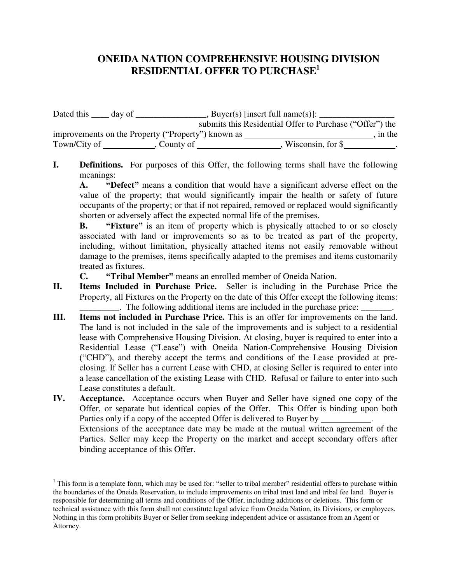## **ONEIDA NATION COMPREHENSIVE HOUSING DIVISION RESIDENTIAL OFFER TO PURCHASE<sup>1</sup>**

Dated this \_\_\_\_ day of \_\_\_\_\_\_\_\_\_\_\_\_\_\_\_\_, Buyer(s) [insert full name(s)]: \_\_\_\_\_\_\_\_ submits this Residential Offer to Purchase ("Offer") the improvements on the Property ("Property") known as \_\_\_\_\_\_\_\_\_\_\_\_\_\_\_\_\_\_\_\_\_\_\_\_\_\_\_\_\_, in the Town/City of , County of , Wisconsin, for \$ .

**I. Definitions.** For purposes of this Offer, the following terms shall have the following meanings:

**A. "Defect"** means a condition that would have a significant adverse effect on the value of the property; that would significantly impair the health or safety of future occupants of the property; or that if not repaired, removed or replaced would significantly shorten or adversely affect the expected normal life of the premises.

**B. "Fixture"** is an item of property which is physically attached to or so closely associated with land or improvements so as to be treated as part of the property, including, without limitation, physically attached items not easily removable without damage to the premises, items specifically adapted to the premises and items customarily treated as fixtures.

**C. "Tribal Member"** means an enrolled member of Oneida Nation.

- **II. Items Included in Purchase Price.** Seller is including in the Purchase Price the Property, all Fixtures on the Property on the date of this Offer except the following items: \_\_\_\_\_\_\_\_\_. The following additional items are included in the purchase price: \_\_\_\_\_\_\_.
- **III. Items not included in Purchase Price.** This is an offer for improvements on the land. The land is not included in the sale of the improvements and is subject to a residential lease with Comprehensive Housing Division. At closing, buyer is required to enter into a Residential Lease ("Lease") with Oneida Nation-Comprehensive Housing Division ("CHD"), and thereby accept the terms and conditions of the Lease provided at preclosing. If Seller has a current Lease with CHD, at closing Seller is required to enter into a lease cancellation of the existing Lease with CHD. Refusal or failure to enter into such Lease constitutes a default.
- **IV. Acceptance.** Acceptance occurs when Buyer and Seller have signed one copy of the Offer, or separate but identical copies of the Offer. This Offer is binding upon both Parties only if a copy of the accepted Offer is delivered to Buyer by . Extensions of the acceptance date may be made at the mutual written agreement of the Parties. Seller may keep the Property on the market and accept secondary offers after binding acceptance of this Offer.

 $\overline{a}$ 

<sup>&</sup>lt;sup>1</sup> This form is a template form, which may be used for: "seller to tribal member" residential offers to purchase within the boundaries of the Oneida Reservation, to include improvements on tribal trust land and tribal fee land. Buyer is responsible for determining all terms and conditions of the Offer, including additions or deletions. This form or technical assistance with this form shall not constitute legal advice from Oneida Nation, its Divisions, or employees. Nothing in this form prohibits Buyer or Seller from seeking independent advice or assistance from an Agent or Attorney.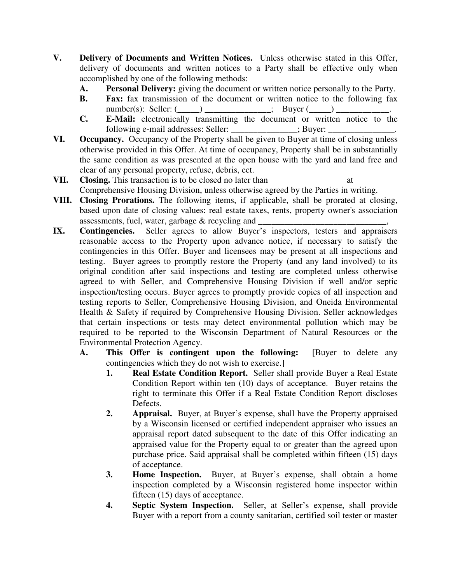- **V. Delivery of Documents and Written Notices.** Unless otherwise stated in this Offer, delivery of documents and written notices to a Party shall be effective only when accomplished by one of the following methods:
	- **A. Personal Delivery:** giving the document or written notice personally to the Party.
	- **B. Fax:** fax transmission of the document or written notice to the following fax  $number(s):$  Seller:  $(\_\_)$  \_\_\_\_\_\_\_\_\_\_\_\_\_\_; Buyer  $(\_\_)$
	- **C. E-Mail:** electronically transmitting the document or written notice to the following e-mail addresses: Seller:  $\ddot{\hspace{1cm}}$  ; Buyer:
- **VI. Occupancy.** Occupancy of the Property shall be given to Buyer at time of closing unless otherwise provided in this Offer. At time of occupancy, Property shall be in substantially the same condition as was presented at the open house with the yard and land free and clear of any personal property, refuse, debris, ect.
- **VII. Closing.** This transaction is to be closed no later than at Comprehensive Housing Division, unless otherwise agreed by the Parties in writing.
- **VIII. Closing Prorations.** The following items, if applicable, shall be prorated at closing, based upon date of closing values: real estate taxes, rents, property owner's association assessments, fuel, water, garbage  $\&$  recycling and
- **IX. Contingencies.** Seller agrees to allow Buyer's inspectors, testers and appraisers reasonable access to the Property upon advance notice, if necessary to satisfy the contingencies in this Offer. Buyer and licensees may be present at all inspections and testing. Buyer agrees to promptly restore the Property (and any land involved) to its original condition after said inspections and testing are completed unless otherwise agreed to with Seller, and Comprehensive Housing Division if well and/or septic inspection/testing occurs. Buyer agrees to promptly provide copies of all inspection and testing reports to Seller, Comprehensive Housing Division, and Oneida Environmental Health & Safety if required by Comprehensive Housing Division. Seller acknowledges that certain inspections or tests may detect environmental pollution which may be required to be reported to the Wisconsin Department of Natural Resources or the Environmental Protection Agency.
	- **A. This Offer is contingent upon the following:** [Buyer to delete any contingencies which they do not wish to exercise.]
		- **1. Real Estate Condition Report.** Seller shall provide Buyer a Real Estate Condition Report within ten (10) days of acceptance. Buyer retains the right to terminate this Offer if a Real Estate Condition Report discloses Defects.
		- **2. Appraisal.** Buyer, at Buyer's expense, shall have the Property appraised by a Wisconsin licensed or certified independent appraiser who issues an appraisal report dated subsequent to the date of this Offer indicating an appraised value for the Property equal to or greater than the agreed upon purchase price. Said appraisal shall be completed within fifteen (15) days of acceptance.
		- **3. Home Inspection.** Buyer, at Buyer's expense, shall obtain a home inspection completed by a Wisconsin registered home inspector within fifteen (15) days of acceptance.
		- **4. Septic System Inspection.** Seller, at Seller's expense, shall provide Buyer with a report from a county sanitarian, certified soil tester or master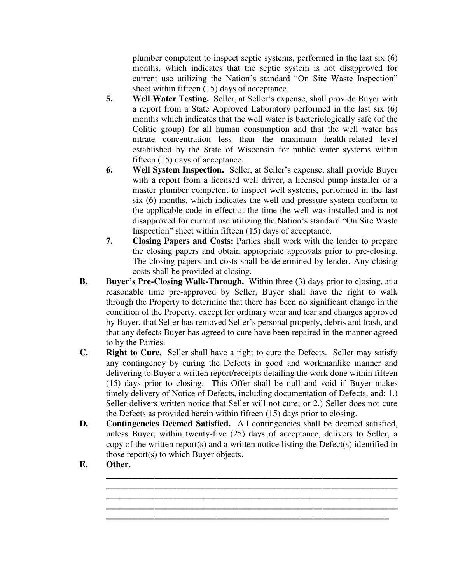plumber competent to inspect septic systems, performed in the last six (6) months, which indicates that the septic system is not disapproved for current use utilizing the Nation's standard "On Site Waste Inspection" sheet within fifteen (15) days of acceptance.

- **5. Well Water Testing.** Seller, at Seller's expense, shall provide Buyer with a report from a State Approved Laboratory performed in the last six (6) months which indicates that the well water is bacteriologically safe (of the Colitic group) for all human consumption and that the well water has nitrate concentration less than the maximum health-related level established by the State of Wisconsin for public water systems within fifteen (15) days of acceptance.
- **6. Well System Inspection.** Seller, at Seller's expense, shall provide Buyer with a report from a licensed well driver, a licensed pump installer or a master plumber competent to inspect well systems, performed in the last six (6) months, which indicates the well and pressure system conform to the applicable code in effect at the time the well was installed and is not disapproved for current use utilizing the Nation's standard "On Site Waste Inspection" sheet within fifteen (15) days of acceptance.
- **7. Closing Papers and Costs:** Parties shall work with the lender to prepare the closing papers and obtain appropriate approvals prior to pre-closing. The closing papers and costs shall be determined by lender. Any closing costs shall be provided at closing.
- **B. Buyer's Pre-Closing Walk-Through.** Within three (3) days prior to closing, at a reasonable time pre-approved by Seller, Buyer shall have the right to walk through the Property to determine that there has been no significant change in the condition of the Property, except for ordinary wear and tear and changes approved by Buyer, that Seller has removed Seller's personal property, debris and trash, and that any defects Buyer has agreed to cure have been repaired in the manner agreed to by the Parties.
- **C. Right to Cure.** Seller shall have a right to cure the Defects. Seller may satisfy any contingency by curing the Defects in good and workmanlike manner and delivering to Buyer a written report/receipts detailing the work done within fifteen (15) days prior to closing. This Offer shall be null and void if Buyer makes timely delivery of Notice of Defects, including documentation of Defects, and: 1.) Seller delivers written notice that Seller will not cure; or 2.) Seller does not cure the Defects as provided herein within fifteen (15) days prior to closing.
- **D. Contingencies Deemed Satisfied.** All contingencies shall be deemed satisfied, unless Buyer, within twenty-five (25) days of acceptance, delivers to Seller, a copy of the written report(s) and a written notice listing the Defect(s) identified in those report(s) to which Buyer objects.

**\_\_\_\_\_\_\_\_\_\_\_\_\_\_\_\_\_\_\_\_\_\_\_\_\_\_\_\_\_\_\_\_\_\_\_\_\_\_\_\_\_\_\_\_\_\_\_\_\_\_\_\_\_\_\_\_\_\_\_\_\_\_\_\_\_\_ \_\_\_\_\_\_\_\_\_\_\_\_\_\_\_\_\_\_\_\_\_\_\_\_\_\_\_\_\_\_\_\_\_\_\_\_\_\_\_\_\_\_\_\_\_\_\_\_\_\_\_\_\_\_\_\_\_\_\_\_\_\_\_\_\_\_ \_\_\_\_\_\_\_\_\_\_\_\_\_\_\_\_\_\_\_\_\_\_\_\_\_\_\_\_\_\_\_\_\_\_\_\_\_\_\_\_\_\_\_\_\_\_\_\_\_\_\_\_\_\_\_\_\_\_\_\_\_\_\_\_\_\_ \_\_\_\_\_\_\_\_\_\_\_\_\_\_\_\_\_\_\_\_\_\_\_\_\_\_\_\_\_\_\_\_\_\_\_\_\_\_\_\_\_\_\_\_\_\_\_\_\_\_\_\_\_\_\_\_\_\_\_\_\_\_\_\_\_\_ \_\_\_\_\_\_\_\_\_\_\_\_\_\_\_\_\_\_\_\_\_\_\_\_\_\_\_\_\_\_\_\_\_\_\_\_\_\_\_\_\_\_\_\_\_\_\_\_\_\_\_\_\_\_\_\_\_\_\_\_\_\_\_\_** 

**E. Other.**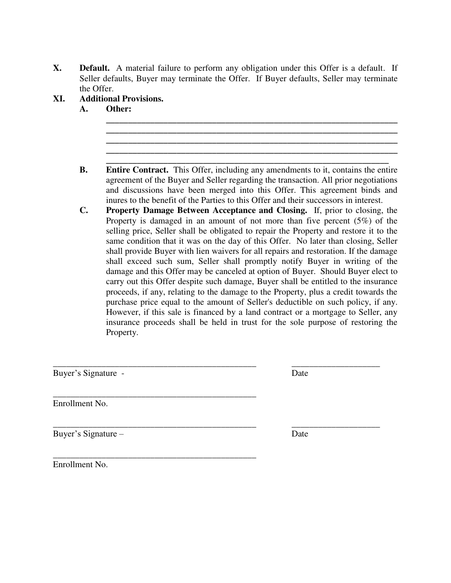- **X. Default.** A material failure to perform any obligation under this Offer is a default. If Seller defaults, Buyer may terminate the Offer. If Buyer defaults, Seller may terminate the Offer.
- **XI. Additional Provisions.** 
	- **A. Other: \_\_\_\_\_\_\_\_\_\_\_\_\_\_\_\_\_\_\_\_\_\_\_\_\_\_\_\_\_\_\_\_\_\_\_\_\_\_\_\_\_\_\_\_\_\_\_\_\_\_\_\_\_\_\_\_\_\_\_\_\_\_\_\_\_\_**
	- **\_\_\_\_\_\_\_\_\_\_\_\_\_\_\_\_\_\_\_\_\_\_\_\_\_\_\_\_\_\_\_\_\_\_\_\_\_\_\_\_\_\_\_\_\_\_\_\_\_\_\_\_\_\_\_\_\_\_\_\_\_\_\_\_ B. Entire Contract.** This Offer, including any amendments to it, contains the entire agreement of the Buyer and Seller regarding the transaction. All prior negotiations and discussions have been merged into this Offer. This agreement binds and inures to the benefit of the Parties to this Offer and their successors in interest.

**\_\_\_\_\_\_\_\_\_\_\_\_\_\_\_\_\_\_\_\_\_\_\_\_\_\_\_\_\_\_\_\_\_\_\_\_\_\_\_\_\_\_\_\_\_\_\_\_\_\_\_\_\_\_\_\_\_\_\_\_\_\_\_\_\_\_ \_\_\_\_\_\_\_\_\_\_\_\_\_\_\_\_\_\_\_\_\_\_\_\_\_\_\_\_\_\_\_\_\_\_\_\_\_\_\_\_\_\_\_\_\_\_\_\_\_\_\_\_\_\_\_\_\_\_\_\_\_\_\_\_\_\_ \_\_\_\_\_\_\_\_\_\_\_\_\_\_\_\_\_\_\_\_\_\_\_\_\_\_\_\_\_\_\_\_\_\_\_\_\_\_\_\_\_\_\_\_\_\_\_\_\_\_\_\_\_\_\_\_\_\_\_\_\_\_\_\_\_\_**

**C. Property Damage Between Acceptance and Closing.** If, prior to closing, the Property is damaged in an amount of not more than five percent (5%) of the selling price, Seller shall be obligated to repair the Property and restore it to the same condition that it was on the day of this Offer. No later than closing, Seller shall provide Buyer with lien waivers for all repairs and restoration. If the damage shall exceed such sum, Seller shall promptly notify Buyer in writing of the damage and this Offer may be canceled at option of Buyer. Should Buyer elect to carry out this Offer despite such damage, Buyer shall be entitled to the insurance proceeds, if any, relating to the damage to the Property, plus a credit towards the purchase price equal to the amount of Seller's deductible on such policy, if any. However, if this sale is financed by a land contract or a mortgage to Seller, any insurance proceeds shall be held in trust for the sole purpose of restoring the Property.

| Date |
|------|
|      |
| Date |
|      |

Enrollment No.